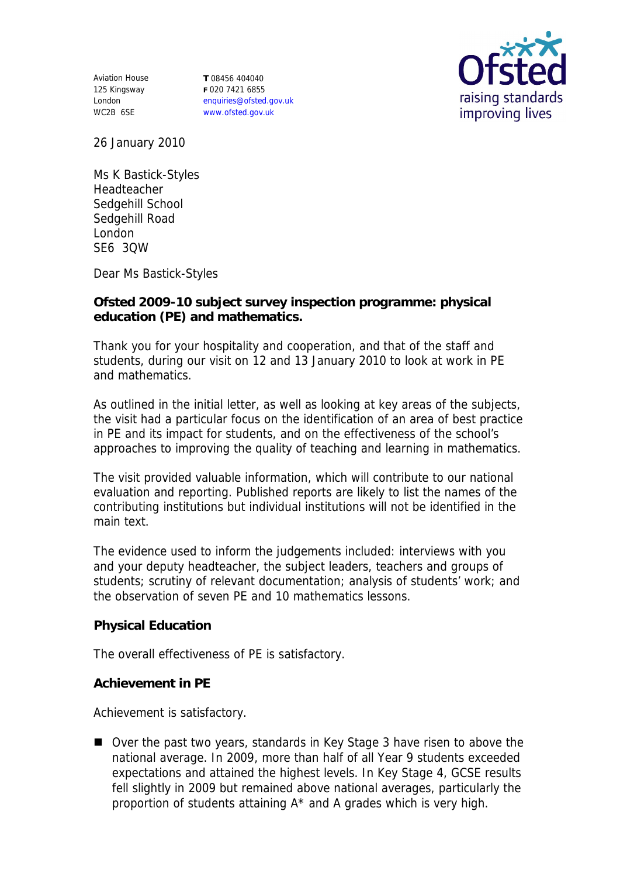Aviation House 125 Kingsway London WC2B 6SE

**T** 08456 404040 **F** 020 7421 6855 enquiries@ofsted.gov.uk www.ofsted.gov.uk



26 January 2010

Ms K Bastick-Styles Headteacher Sedgehill School Sedgehill Road London SE6 3QW

Dear Ms Bastick-Styles

**Ofsted 2009-10 subject survey inspection programme: physical education (PE) and mathematics.**

Thank you for your hospitality and cooperation, and that of the staff and students, during our visit on 12 and 13 January 2010 to look at work in PE and mathematics.

As outlined in the initial letter, as well as looking at key areas of the subjects, the visit had a particular focus on the identification of an area of best practice in PE and its impact for students, and on the effectiveness of the school's approaches to improving the quality of teaching and learning in mathematics.

The visit provided valuable information, which will contribute to our national evaluation and reporting. Published reports are likely to list the names of the contributing institutions but individual institutions will not be identified in the main text.

The evidence used to inform the judgements included: interviews with you and your deputy headteacher, the subject leaders, teachers and groups of students; scrutiny of relevant documentation; analysis of students' work; and the observation of seven PE and 10 mathematics lessons.

**Physical Education**

The overall effectiveness of PE is satisfactory.

**Achievement in PE** 

Achievement is satisfactory.

■ Over the past two years, standards in Key Stage 3 have risen to above the national average. In 2009, more than half of all Year 9 students exceeded expectations and attained the highest levels. In Key Stage 4, GCSE results fell slightly in 2009 but remained above national averages, particularly the proportion of students attaining A\* and A grades which is very high.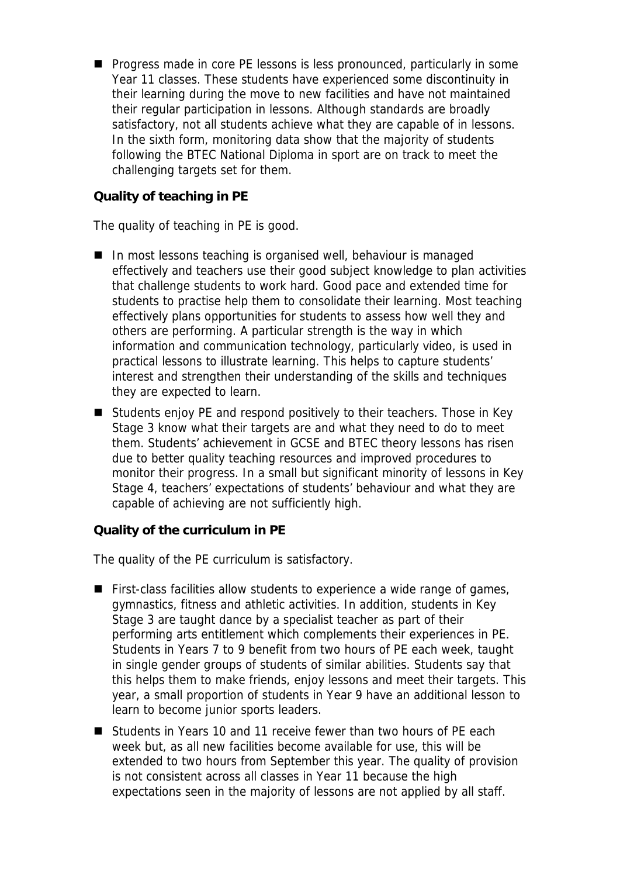**Progress made in core PE lessons is less pronounced, particularly in some** Year 11 classes. These students have experienced some discontinuity in their learning during the move to new facilities and have not maintained their regular participation in lessons. Although standards are broadly satisfactory, not all students achieve what they are capable of in lessons. In the sixth form, monitoring data show that the majority of students following the BTEC National Diploma in sport are on track to meet the challenging targets set for them.

**Quality of teaching in PE**

The quality of teaching in PE is good.

- In most lessons teaching is organised well, behaviour is managed effectively and teachers use their good subject knowledge to plan activities that challenge students to work hard. Good pace and extended time for students to practise help them to consolidate their learning. Most teaching effectively plans opportunities for students to assess how well they and others are performing. A particular strength is the way in which information and communication technology, particularly video, is used in practical lessons to illustrate learning. This helps to capture students' interest and strengthen their understanding of the skills and techniques they are expected to learn.
- Students enjoy PE and respond positively to their teachers. Those in Key Stage 3 know what their targets are and what they need to do to meet them. Students' achievement in GCSE and BTEC theory lessons has risen due to better quality teaching resources and improved procedures to monitor their progress. In a small but significant minority of lessons in Key Stage 4, teachers' expectations of students' behaviour and what they are capable of achieving are not sufficiently high.

**Quality of the curriculum in PE**

The quality of the PE curriculum is satisfactory.

- **First-class facilities allow students to experience a wide range of games,** gymnastics, fitness and athletic activities. In addition, students in Key Stage 3 are taught dance by a specialist teacher as part of their performing arts entitlement which complements their experiences in PE. Students in Years 7 to 9 benefit from two hours of PE each week, taught in single gender groups of students of similar abilities. Students say that this helps them to make friends, enjoy lessons and meet their targets. This year, a small proportion of students in Year 9 have an additional lesson to learn to become junior sports leaders.
- Students in Years 10 and 11 receive fewer than two hours of PE each week but, as all new facilities become available for use, this will be extended to two hours from September this year. The quality of provision is not consistent across all classes in Year 11 because the high expectations seen in the majority of lessons are not applied by all staff.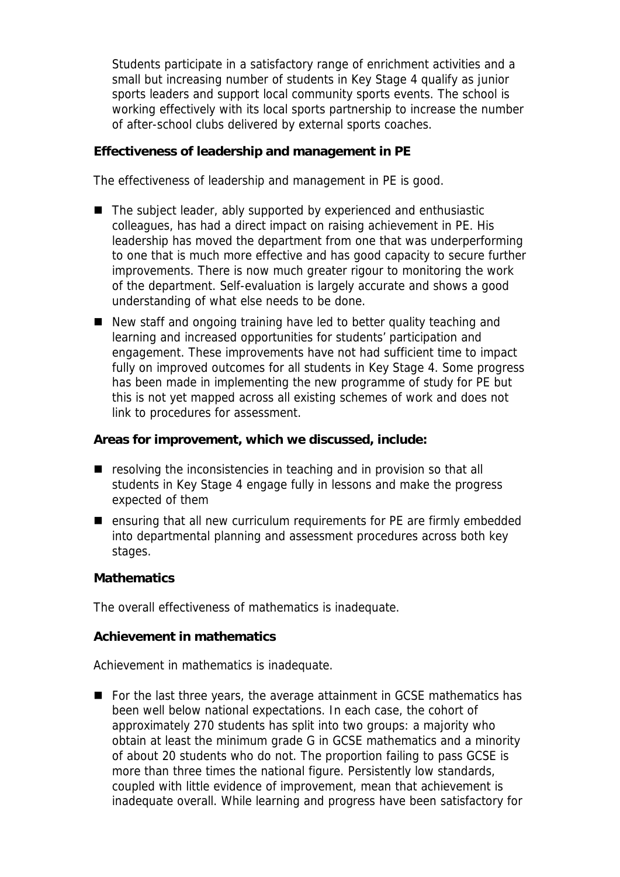Students participate in a satisfactory range of enrichment activities and a small but increasing number of students in Key Stage 4 qualify as junior sports leaders and support local community sports events. The school is working effectively with its local sports partnership to increase the number of after-school clubs delivered by external sports coaches.

**Effectiveness of leadership and management in PE**

The effectiveness of leadership and management in PE is good.

- The subject leader, ably supported by experienced and enthusiastic colleagues, has had a direct impact on raising achievement in PE. His leadership has moved the department from one that was underperforming to one that is much more effective and has good capacity to secure further improvements. There is now much greater rigour to monitoring the work of the department. Self-evaluation is largely accurate and shows a good understanding of what else needs to be done.
- New staff and ongoing training have led to better quality teaching and learning and increased opportunities for students' participation and engagement. These improvements have not had sufficient time to impact fully on improved outcomes for all students in Key Stage 4. Some progress has been made in implementing the new programme of study for PE but this is not yet mapped across all existing schemes of work and does not link to procedures for assessment.

**Areas for improvement, which we discussed, include:**

- **E** resolving the inconsistencies in teaching and in provision so that all students in Key Stage 4 engage fully in lessons and make the progress expected of them
- ensuring that all new curriculum requirements for PE are firmly embedded into departmental planning and assessment procedures across both key stages.

**Mathematics**

The overall effectiveness of mathematics is inadequate.

**Achievement in mathematics**

Achievement in mathematics is inadequate.

■ For the last three years, the average attainment in GCSE mathematics has been well below national expectations. In each case, the cohort of approximately 270 students has split into two groups: a majority who obtain at least the minimum grade G in GCSE mathematics and a minority of about 20 students who do not. The proportion failing to pass GCSE is more than three times the national figure. Persistently low standards, coupled with little evidence of improvement, mean that achievement is inadequate overall. While learning and progress have been satisfactory for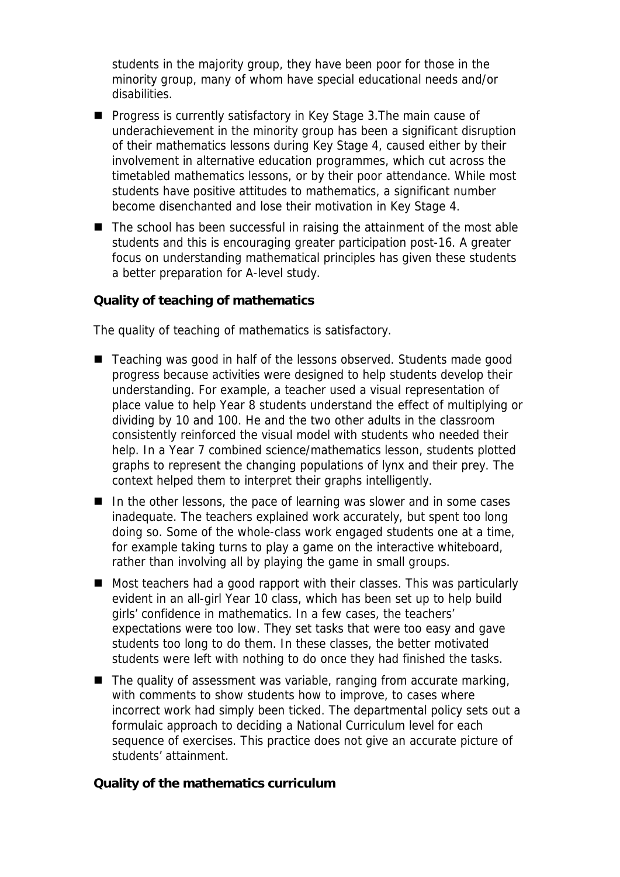students in the majority group, they have been poor for those in the minority group, many of whom have special educational needs and/or disabilities.

- **Progress is currently satisfactory in Key Stage 3. The main cause of** underachievement in the minority group has been a significant disruption of their mathematics lessons during Key Stage 4, caused either by their involvement in alternative education programmes, which cut across the timetabled mathematics lessons, or by their poor attendance. While most students have positive attitudes to mathematics, a significant number become disenchanted and lose their motivation in Key Stage 4.
- The school has been successful in raising the attainment of the most able students and this is encouraging greater participation post-16. A greater focus on understanding mathematical principles has given these students a better preparation for A-level study.

**Quality of teaching of mathematics**

The quality of teaching of mathematics is satisfactory.

- Teaching was good in half of the lessons observed. Students made good progress because activities were designed to help students develop their understanding. For example, a teacher used a visual representation of place value to help Year 8 students understand the effect of multiplying or dividing by 10 and 100. He and the two other adults in the classroom consistently reinforced the visual model with students who needed their help. In a Year 7 combined science/mathematics lesson, students plotted graphs to represent the changing populations of lynx and their prey. The context helped them to interpret their graphs intelligently.
- $\blacksquare$  In the other lessons, the pace of learning was slower and in some cases inadequate. The teachers explained work accurately, but spent too long doing so. Some of the whole-class work engaged students one at a time, for example taking turns to play a game on the interactive whiteboard, rather than involving all by playing the game in small groups.
- Most teachers had a good rapport with their classes. This was particularly evident in an all-girl Year 10 class, which has been set up to help build girls' confidence in mathematics. In a few cases, the teachers' expectations were too low. They set tasks that were too easy and gave students too long to do them. In these classes, the better motivated students were left with nothing to do once they had finished the tasks.
- $\blacksquare$  The quality of assessment was variable, ranging from accurate marking, with comments to show students how to improve, to cases where incorrect work had simply been ticked. The departmental policy sets out a formulaic approach to deciding a National Curriculum level for each sequence of exercises. This practice does not give an accurate picture of students' attainment.

**Quality of the mathematics curriculum**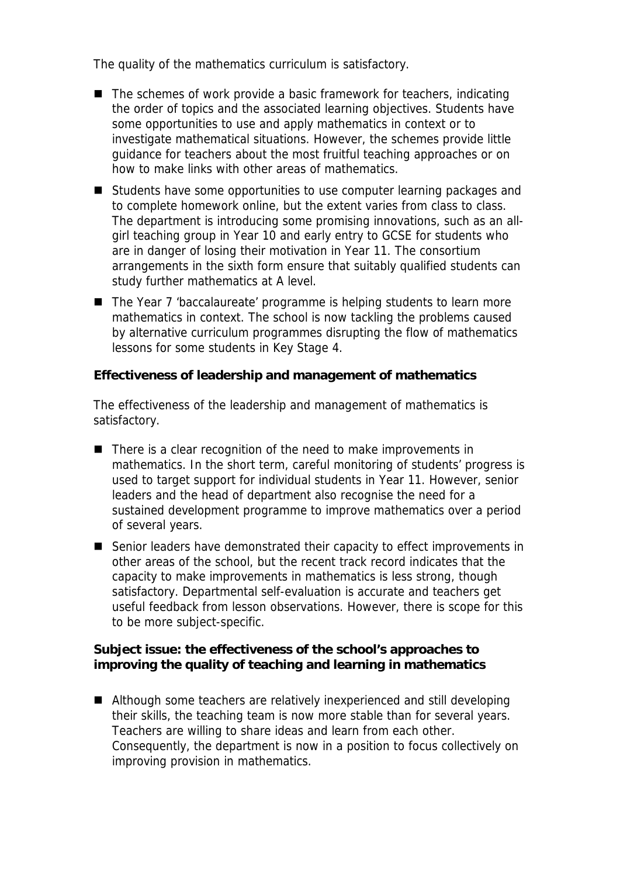The quality of the mathematics curriculum is satisfactory.

- $\blacksquare$  The schemes of work provide a basic framework for teachers, indicating the order of topics and the associated learning objectives. Students have some opportunities to use and apply mathematics in context or to investigate mathematical situations. However, the schemes provide little guidance for teachers about the most fruitful teaching approaches or on how to make links with other areas of mathematics.
- Students have some opportunities to use computer learning packages and to complete homework online, but the extent varies from class to class. The department is introducing some promising innovations, such as an allgirl teaching group in Year 10 and early entry to GCSE for students who are in danger of losing their motivation in Year 11. The consortium arrangements in the sixth form ensure that suitably qualified students can study further mathematics at A level.
- The Year 7 'baccalaureate' programme is helping students to learn more mathematics in context. The school is now tackling the problems caused by alternative curriculum programmes disrupting the flow of mathematics lessons for some students in Key Stage 4.

**Effectiveness of leadership and management of mathematics**

The effectiveness of the leadership and management of mathematics is satisfactory.

- There is a clear recognition of the need to make improvements in mathematics. In the short term, careful monitoring of students' progress is used to target support for individual students in Year 11. However, senior leaders and the head of department also recognise the need for a sustained development programme to improve mathematics over a period of several years.
- Senior leaders have demonstrated their capacity to effect improvements in other areas of the school, but the recent track record indicates that the capacity to make improvements in mathematics is less strong, though satisfactory. Departmental self-evaluation is accurate and teachers get useful feedback from lesson observations. However, there is scope for this to be more subject-specific.

**Subject issue: the effectiveness of the school's approaches to improving the quality of teaching and learning in mathematics**

■ Although some teachers are relatively inexperienced and still developing their skills, the teaching team is now more stable than for several years. Teachers are willing to share ideas and learn from each other. Consequently, the department is now in a position to focus collectively on improving provision in mathematics.